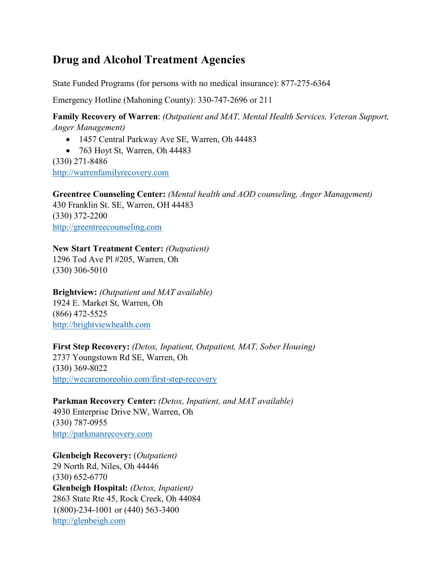# **Drug and Alcohol Treatment Agencies**

State Funded Programs (for persons with no medical insurance): 877-275-6364

Emergency Hotline (Mahoning County): 330-747-2696 or 211

**Family Recovery of Warren**: *(Outpatient and MAT, Mental Health Services, Veteran Support, Anger Management)*

• 1457 Central Parkway Ave SE, Warren, Oh 44483

• 763 Hoyt St, Warren, Oh 44483 (330) 271-8486 [http://warrenfamilyrecovery.com](http://warrenfamilyrecovery.com/)

**Greentree Counseling Center:** *(Mental health and AOD counseling, Anger Management)* 430 Franklin St. SE, Warren, OH 44483 (330) 372-2200 [http://greentreecounseling.com](http://greentreecounseling.com/)

**New Start Treatment Center:** *(Outpatient)* 1296 Tod Ave Pl #205, Warren, Oh (330) 306-5010

**Brightview:** *(Outpatient and MAT available)* 1924 E. Market St, Warren, Oh (866) 472-5525 [http://brightviewhealth.com](http://brightviewhealth.com/)

**First Step Recovery:** *(Detox, Inpatient, Outpatient, MAT, Sober Housing)* 2737 Youngstown Rd SE, Warren, Oh (330) 369-8022 <http://wecaremoreohio.com/first-step-recovery>

**Parkman Recovery Center:** *(Detox, Inpatient, and MAT available)* 4930 Enterprise Drive NW, Warren, Oh (330) 787-0955 [http://parkmanrecovery.com](http://parkmanrecovery.com/)

**Glenbeigh Recovery:** (*Outpatient)* 29 North Rd, Niles, Oh 44446 (330) 652-6770 **Glenbeigh Hospital:** *(Detox, Inpatient)* 2863 State Rte 45, Rock Creek, Oh 44084 1(800)-234-1001 or (440) 563-3400 [http://glenbeigh.com](http://glenbeigh.com/)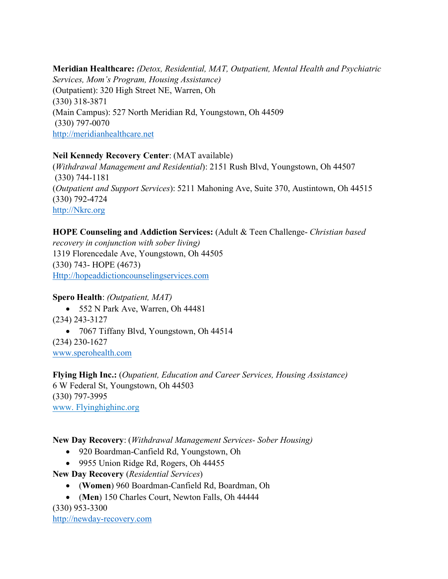**Meridian Healthcare:** *(Detox, Residential, MAT, Outpatient, Mental Health and Psychiatric Services, Mom's Program, Housing Assistance)* (Outpatient): 320 High Street NE, Warren, Oh (330) 318-3871 (Main Campus): 527 North Meridian Rd, Youngstown, Oh 44509 (330) 797-0070 [http://meridianhealthcare.net](http://meridianhealthcare.net/)

#### **Neil Kennedy Recovery Center**: (MAT available)

(*Withdrawal Management and Residential*): 2151 Rush Blvd, Youngstown, Oh 44507 (330) 744-1181 (*Outpatient and Support Services*): 5211 Mahoning Ave, Suite 370, Austintown, Oh 44515 (330) 792-4724 [http://Nkrc.org](http://nkrc.org/)

## **HOPE Counseling and Addiction Services:** (Adult & Teen Challenge- *Christian based*

*recovery in conjunction with sober living)* 1319 Florencedale Ave, Youngstown, Oh 44505 (330) 743- HOPE (4673) [Http://hopeaddictioncounselingservices.com](http://hopeaddictioncounselingservices.com/)

#### **Spero Health**: *(Outpatient, MAT)*

• 552 N Park Ave, Warren, Oh 44481 (234) 243-3127 • 7067 Tiffany Blvd, Youngstown, Oh 44514 (234) 230-1627 [www.sperohealth.com](http://www.sperohealth.com/)

**Flying High Inc.:** (*Oupatient, Education and Career Services, Housing Assistance)* 6 W Federal St, Youngstown, Oh 44503 (330) 797-3995 www. Flyinghighinc.org

#### **New Day Recovery**: (*Withdrawal Management Services- Sober Housing)*

- 920 Boardman-Canfield Rd, Youngstown, Oh
- 9955 Union Ridge Rd, Rogers, Oh 44455

**New Day Recovery** (*Residential Services*)

- (**Women**) 960 Boardman-Canfield Rd, Boardman, Oh
- (**Men**) 150 Charles Court, Newton Falls, Oh 44444

(330) 953-3300 [http://newday-recovery.com](http://newday-recovery.com/)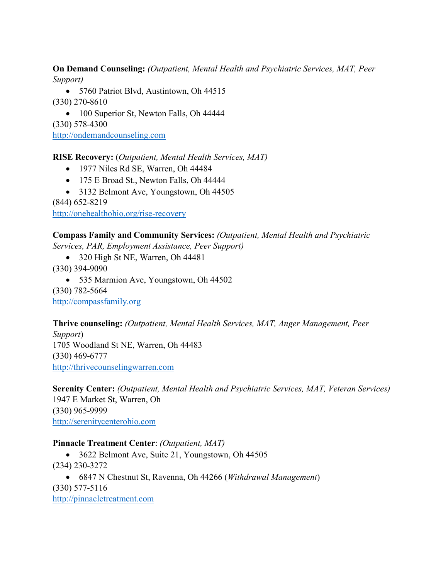**On Demand Counseling:** *(Outpatient, Mental Health and Psychiatric Services, MAT, Peer Support)*

• 5760 Patriot Blvd, Austintown, Oh 44515 (330) 270-8610

• 100 Superior St, Newton Falls, Oh 44444

(330) 578-4300

[http://ondemandcounseling.com](http://ondemandcounseling.com/)

**RISE Recovery:** (*Outpatient, Mental Health Services, MAT)*

- 1977 Niles Rd SE, Warren, Oh 44484
- 175 E Broad St., Newton Falls, Oh 44444
- 3132 Belmont Ave, Youngstown, Oh 44505

(844) 652-8219

<http://onehealthohio.org/rise-recovery>

**Compass Family and Community Services:** *(Outpatient, Mental Health and Psychiatric Services, PAR, Employment Assistance, Peer Support)*

• 320 High St NE, Warren, Oh 44481

(330) 394-9090

• 535 Marmion Ave, Youngstown, Oh 44502

(330) 782-5664 [http://compassfamily.org](http://compassfamily.org/)

**Thrive counseling:** *(Outpatient, Mental Health Services, MAT, Anger Management, Peer Support*) 1705 Woodland St NE, Warren, Oh 44483 (330) 469-6777

[http://thrivecounselingwarren.com](http://thrivecounselingwarren.com/)

**Serenity Center:** *(Outpatient, Mental Health and Psychiatric Services, MAT, Veteran Services)* 1947 E Market St, Warren, Oh (330) 965-9999 [http://serenitycenterohio.com](http://serenitycenterohio.com/)

## **Pinnacle Treatment Center**: *(Outpatient, MAT)*

- 3622 Belmont Ave, Suite 21, Youngstown, Oh 44505 (234) 230-3272
- 6847 N Chestnut St, Ravenna, Oh 44266 (*Withdrawal Management*) (330) 577-5116

[http://pinnacletreatment.com](http://pinnacletreatment.com/)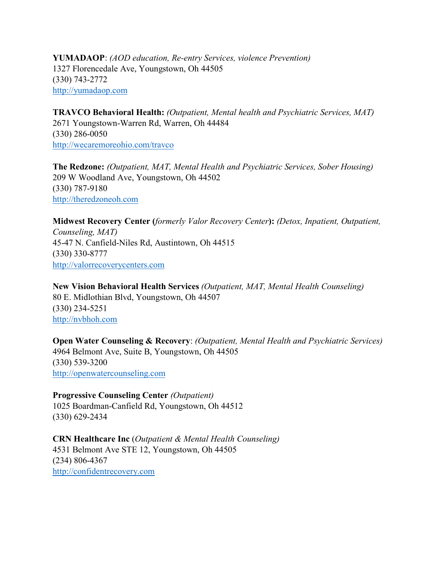**YUMADAOP**: *(AOD education, Re-entry Services, violence Prevention)* 1327 Florencedale Ave, Youngstown, Oh 44505 (330) 743-2772 [http://yumadaop.com](http://yumadaop.com/)

**TRAVCO Behavioral Health:** *(Outpatient, Mental health and Psychiatric Services, MAT)* 2671 Youngstown-Warren Rd, Warren, Oh 44484 (330) 286-0050 <http://wecaremoreohio.com/travco>

**The Redzone:** *(Outpatient, MAT, Mental Health and Psychiatric Services, Sober Housing)* 209 W Woodland Ave, Youngstown, Oh 44502 (330) 787-9180 [http://theredzoneoh.com](http://theredzoneoh.com/)

**Midwest Recovery Center (***formerly Valor Recovery Center***):** *(Detox, Inpatient, Outpatient, Counseling, MAT)* 45-47 N. Canfield-Niles Rd, Austintown, Oh 44515 (330) 330-8777 [http://valorrecoverycenters.com](http://valorrecoverycenters.com/)

**New Vision Behavioral Health Services** *(Outpatient, MAT, Mental Health Counseling)* 80 E. Midlothian Blvd, Youngstown, Oh 44507 (330) 234-5251 [http://nvbhoh.com](http://nvbhoh.com/)

**Open Water Counseling & Recovery**: *(Outpatient, Mental Health and Psychiatric Services)* 4964 Belmont Ave, Suite B, Youngstown, Oh 44505 (330) 539-3200 [http://openwatercounseling.com](http://openwatercounseling.com/)

**Progressive Counseling Center** *(Outpatient)* 1025 Boardman-Canfield Rd, Youngstown, Oh 44512 (330) 629-2434

**CRN Healthcare Inc** (*Outpatient & Mental Health Counseling)* 4531 Belmont Ave STE 12, Youngstown, Oh 44505 (234) 806-4367 [http://confidentrecovery.com](http://confidentrecovery.com/)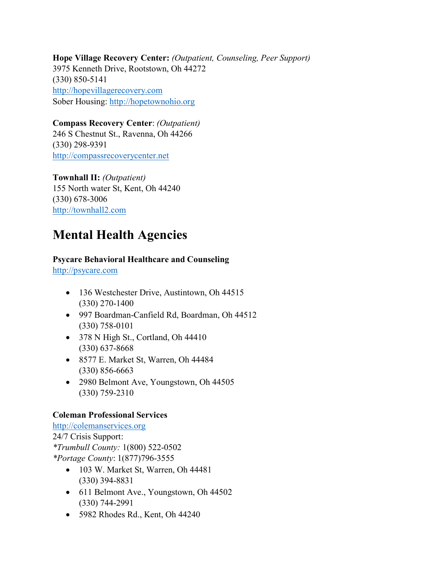**Hope Village Recovery Center:** *(Outpatient, Counseling, Peer Support)* 3975 Kenneth Drive, Rootstown, Oh 44272 (330) 850-5141 [http://hopevillagerecovery.com](http://hopevillagerecovery.com/) Sober Housing: [http://hopetownohio.org](http://hopetownohio.org/)

**Compass Recovery Center**: *(Outpatient)* 246 S Chestnut St., Ravenna, Oh 44266 (330) 298-9391 [http://compassrecoverycenter.net](http://compassrecoverycenter.net/)

**Townhall II:** *(Outpatient)* 155 North water St, Kent, Oh 44240 (330) 678-3006 [http://townhall2.com](http://townhall2.com/)

# **Mental Health Agencies**

# **Psycare Behavioral Healthcare and Counseling**

[http://psycare.com](http://psycare.com/)

- 136 Westchester Drive, Austintown, Oh 44515 (330) 270-1400
- 997 Boardman-Canfield Rd, Boardman, Oh 44512 (330) 758-0101
- 378 N High St., Cortland, Oh 44410 (330) 637-8668
- 8577 E. Market St, Warren, Oh 44484 (330) 856-6663
- 2980 Belmont Ave, Youngstown, Oh 44505 (330) 759-2310

## **Coleman Professional Services**

[http://colemanservices.org](http://colemanservices.org/) 24/7 Crisis Support: *\*Trumbull County:* 1(800) 522-0502 *\*Portage County*: 1(877)796-3555

- 103 W. Market St, Warren, Oh 44481 (330) 394-8831
- 611 Belmont Ave., Youngstown, Oh 44502 (330) 744-2991
- 5982 Rhodes Rd., Kent, Oh 44240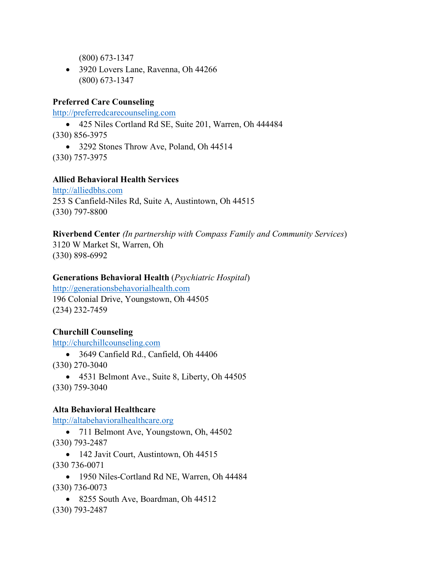(800) 673-1347

• 3920 Lovers Lane, Ravenna, Oh 44266 (800) 673-1347

#### **Preferred Care Counseling**

[http://preferredcarecounseling.com](http://preferredcarecounseling.com/)

• 425 Niles Cortland Rd SE, Suite 201, Warren, Oh 444484

(330) 856-3975

• 3292 Stones Throw Ave, Poland, Oh 44514 (330) 757-3975

#### **Allied Behavioral Health Services**

[http://alliedbhs.com](http://alliedbhs.com/) 253 S Canfield-Niles Rd, Suite A, Austintown, Oh 44515 (330) 797-8800

**Riverbend Center** *(In partnership with Compass Family and Community Services*) 3120 W Market St, Warren, Oh (330) 898-6992

#### **Generations Behavioral Health** (*Psychiatric Hospital*)

[http://generationsbehavorialhealth.com](http://generationsbehavorialhealth.com/) 196 Colonial Drive, Youngstown, Oh 44505 (234) 232-7459

## **Churchill Counseling**

[http://churchillcounseling.com](http://churchillcounseling.com/)

• 3649 Canfield Rd., Canfield, Oh 44406

(330) 270-3040

• 4531 Belmont Ave., Suite 8, Liberty, Oh 44505 (330) 759-3040

#### **Alta Behavioral Healthcare**

[http://altabehavioralhealthcare.org](http://altabehavioralhealthcare.org/)

• 711 Belmont Ave, Youngstown, Oh, 44502 (330) 793-2487

• 142 Javit Court, Austintown, Oh 44515 (330 736-0071

• 1950 Niles-Cortland Rd NE, Warren, Oh 44484 (330) 736-0073

• 8255 South Ave, Boardman, Oh 44512

(330) 793-2487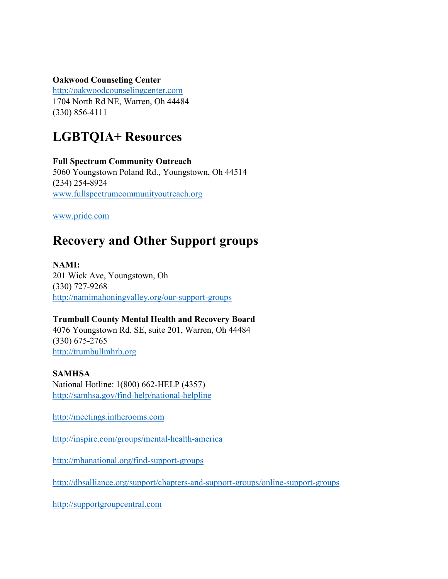**Oakwood Counseling Center**

[http://oakwoodcounselingcenter.com](http://oakwoodcounselingcenter.com/) 1704 North Rd NE, Warren, Oh 44484 (330) 856-4111

# **LGBTQIA+ Resources**

**Full Spectrum Community Outreach** 5060 Youngstown Poland Rd., Youngstown, Oh 44514 (234) 254-8924 [www.fullspectrumcommunityoutreach.org](http://www.fullspectrumcommunityoutreach.org/)

[www.pride.com](http://www.pride.com/)

# **Recovery and Other Support groups**

**NAMI:** 201 Wick Ave, Youngstown, Oh (330) 727-9268 <http://namimahoningvalley.org/our-support-groups>

#### **Trumbull County Mental Health and Recovery Board**

4076 Youngstown Rd. SE, suite 201, Warren, Oh 44484 (330) 675-2765 [http://trumbullmhrb.org](http://trumbullmhrb.org/)

#### **SAMHSA**

National Hotline: 1(800) 662-HELP (4357) <http://samhsa.gov/find-help/national-helpline>

[http://meetings.intherooms.com](http://meetings.intherooms.com/)

<http://inspire.com/groups/mental-health-america>

<http://mhanational.org/find-support-groups>

<http://dbsalliance.org/support/chapters-and-support-groups/online-support-groups>

[http://supportgroupcentral.com](http://supportgroupcentral.com/)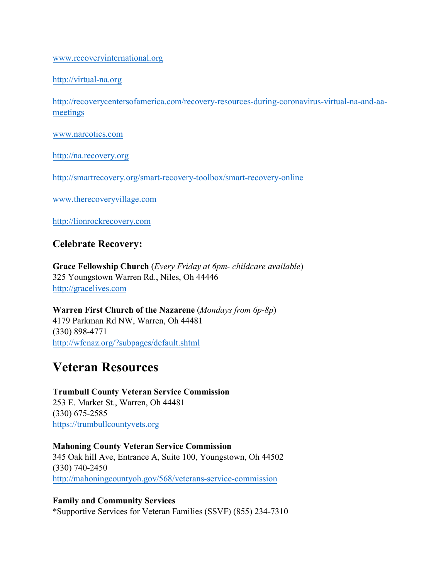[www.recoveryinternational.org](http://www.recoveryinternational.org/)

[http://virtual-na.org](http://virtual-na.org/)

[http://recoverycentersofamerica.com/recovery-resources-during-coronavirus-virtual-na-and-aa](http://recoverycentersofamerica.com/recovery-resources-during-coronavirus-virtual-na-and-aa-meetings)[meetings](http://recoverycentersofamerica.com/recovery-resources-during-coronavirus-virtual-na-and-aa-meetings)

[www.narcotics.com](http://www.narcotics.com/)

[http://na.recovery.org](http://na.recovery.org/)

<http://smartrecovery.org/smart-recovery-toolbox/smart-recovery-online>

[www.therecoveryvillage.com](http://www.therecoveryvillage.com/)

[http://lionrockrecovery.com](http://lionrockrecovery.com/)

## **Celebrate Recovery:**

**Grace Fellowship Church** (*Every Friday at 6pm- childcare available*) 325 Youngstown Warren Rd., Niles, Oh 44446 [http://gracelives.com](http://gracelives.com/)

**Warren First Church of the Nazarene** (*Mondays from 6p-8p*) 4179 Parkman Rd NW, Warren, Oh 44481 (330) 898-4771 <http://wfcnaz.org/?subpages/default.shtml>

# **Veteran Resources**

**Trumbull County Veteran Service Commission** 253 E. Market St., Warren, Oh 44481 (330) 675-2585 <https://trumbullcountyvets.org>

**Mahoning County Veteran Service Commission** 345 Oak hill Ave, Entrance A, Suite 100, Youngstown, Oh 44502 (330) 740-2450 <http://mahoningcountyoh.gov/568/veterans-service-commission>

**Family and Community Services** \*Supportive Services for Veteran Families (SSVF) (855) 234-7310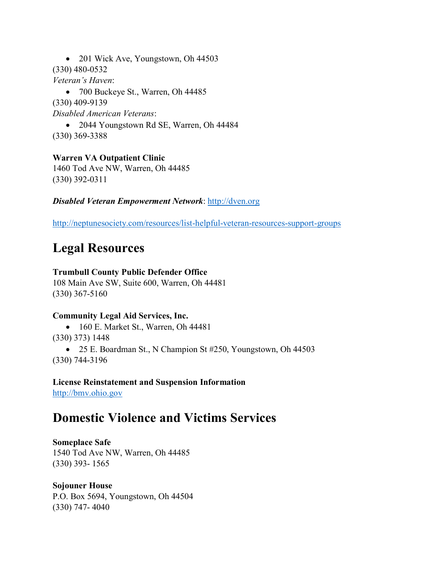• 201 Wick Ave, Youngstown, Oh 44503 (330) 480-0532 *Veteran's Haven*: • 700 Buckeye St., Warren, Oh 44485 (330) 409-9139 *Disabled American Veterans*:

• 2044 Youngstown Rd SE, Warren, Oh 44484 (330) 369-3388

**Warren VA Outpatient Clinic** 1460 Tod Ave NW, Warren, Oh 44485 (330) 392-0311

*Disabled Veteran Empowerment Network*: [http://dven.org](http://dven.org/)

<http://neptunesociety.com/resources/list-helpful-veteran-resources-support-groups>

# **Legal Resources**

#### **Trumbull County Public Defender Office**

108 Main Ave SW, Suite 600, Warren, Oh 44481 (330) 367-5160

#### **Community Legal Aid Services, Inc.**

• 160 E. Market St., Warren, Oh 44481 (330) 373) 1448 • 25 E. Boardman St., N Champion St #250, Youngstown, Oh 44503 (330) 744-3196

**License Reinstatement and Suspension Information** [http://bmv.ohio.gov](http://bmv.ohio.gov/)

# **Domestic Violence and Victims Services**

#### **Someplace Safe**

1540 Tod Ave NW, Warren, Oh 44485 (330) 393- 1565

#### **Sojouner House**

P.O. Box 5694, Youngstown, Oh 44504 (330) 747- 4040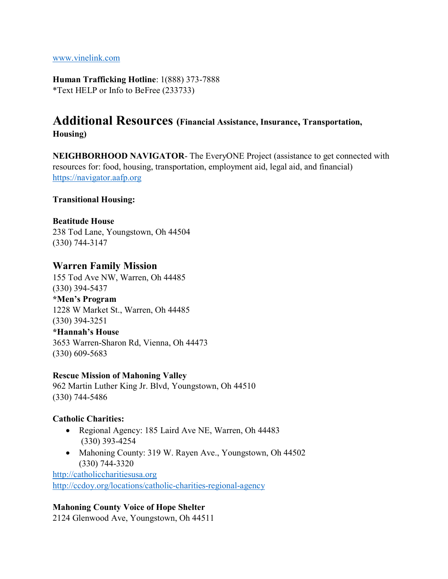[www.vinelink.com](http://www.vinelink.com/)

**Human Trafficking Hotline**: 1(888) 373-7888 \*Text HELP or Info to BeFree (233733)

# **Additional Resources (Financial Assistance, Insurance, Transportation, Housing)**

**NEIGHBORHOOD NAVIGATOR**- The EveryONE Project (assistance to get connected with resources for: food, housing, transportation, employment aid, legal aid, and financial) [https://navigator.aafp.org](https://navigator.aafp.org/)

**Transitional Housing:**

#### **Beatitude House**

238 Tod Lane, Youngstown, Oh 44504 (330) 744-3147

#### **Warren Family Mission**

155 Tod Ave NW, Warren, Oh 44485 (330) 394-5437

**\*Men's Program** 1228 W Market St., Warren, Oh 44485 (330) 394-3251

**\*Hannah's House** 3653 Warren-Sharon Rd, Vienna, Oh 44473 (330) 609-5683

#### **Rescue Mission of Mahoning Valley**

962 Martin Luther King Jr. Blvd, Youngstown, Oh 44510 (330) 744-5486

#### **Catholic Charities:**

- Regional Agency: 185 Laird Ave NE, Warren, Oh 44483 (330) 393-4254
- Mahoning County: 319 W. Rayen Ave., Youngstown, Oh 44502 (330) 744-3320

[http://catholiccharitiesusa.org](http://catholiccharitiesusa.org/) <http://ccdoy.org/locations/catholic-charities-regional-agency>

#### **Mahoning County Voice of Hope Shelter**

2124 Glenwood Ave, Youngstown, Oh 44511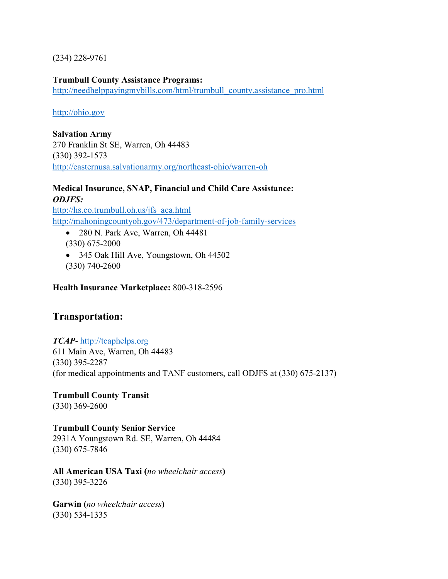(234) 228-9761

**Trumbull County Assistance Programs:** [http://needhelppayingmybills.com/html/trumbull\\_county.assistance\\_pro.html](http://needhelppayingmybills.com/html/trumbull_county.assistance_pro.html)

[http://ohio.gov](http://ohio.gov/)

**Salvation Army** 270 Franklin St SE, Warren, Oh 44483 (330) 392-1573 <http://easternusa.salvationarmy.org/northeast-ohio/warren-oh>

#### **Medical Insurance, SNAP, Financial and Child Care Assistance:** *ODJFS:*

[http://hs.co.trumbull.oh.us/jfs\\_aca.html](http://hs.co.trumbull.oh.us/jfs_aca.html) <http://mahoningcountyoh.gov/473/department-of-job-family-services>

- 280 N. Park Ave, Warren, Oh 44481 (330) 675-2000
- 345 Oak Hill Ave, Youngstown, Oh 44502 (330) 740-2600

**Health Insurance Marketplace:** 800-318-2596

# **Transportation:**

#### *TCAP*- [http://tcaphelps.org](http://tcaphelps.org/)

611 Main Ave, Warren, Oh 44483 (330) 395-2287 (for medical appointments and TANF customers, call ODJFS at (330) 675-2137)

## **Trumbull County Transit**

(330) 369-2600

## **Trumbull County Senior Service**

2931A Youngstown Rd. SE, Warren, Oh 44484 (330) 675-7846

**All American USA Taxi (***no wheelchair access***)** (330) 395-3226

**Garwin (***no wheelchair access***)** (330) 534-1335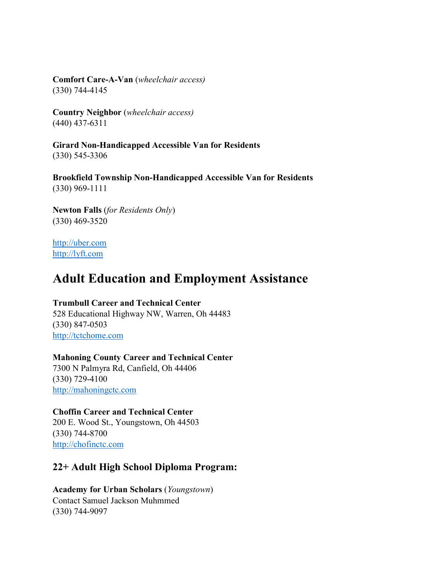**Comfort Care-A-Van** (*wheelchair access)* (330) 744-4145

**Country Neighbor** (*wheelchair access)* (440) 437-6311

**Girard Non-Handicapped Accessible Van for Residents** (330) 545-3306

**Brookfield Township Non-Handicapped Accessible Van for Residents** (330) 969-1111

**Newton Falls** (*for Residents Only*) (330) 469-3520

[http://uber.com](http://uber.com/) [http://lyft.com](http://lyft.com/)

# **Adult Education and Employment Assistance**

#### **Trumbull Career and Technical Center**

528 Educational Highway NW, Warren, Oh 44483 (330) 847-0503 [http://tctchome.com](http://tctchome.com/)

**Mahoning County Career and Technical Center** 7300 N Palmyra Rd, Canfield, Oh 44406 (330) 729-4100 [http://mahoningctc.com](http://mahoningctc.com/)

#### **Choffin Career and Technical Center**

200 E. Wood St., Youngstown, Oh 44503 (330) 744-8700 [http://chofinctc.com](http://chofinctc.com/)

# **22+ Adult High School Diploma Program:**

**Academy for Urban Scholars** (*Youngstown*) Contact Samuel Jackson Muhmmed (330) 744-9097